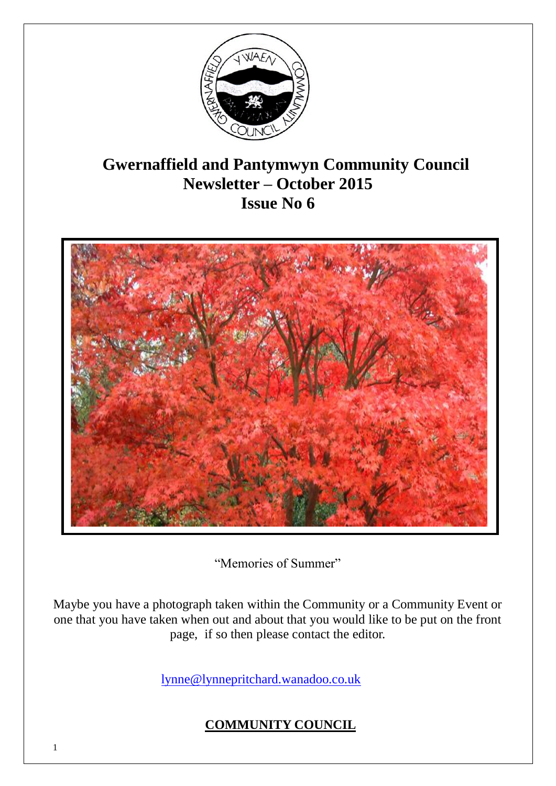

# **Gwernaffield and Pantymwyn Community Council Newsletter – October 2015 Issue No 6**



"Memories of Summer"

Maybe you have a photograph taken within the Community or a Community Event or one that you have taken when out and about that you would like to be put on the front page, if so then please contact the editor.

[lynne@lynnepritchard.wanadoo.co.uk](mailto:lynne@lynnepritchard.wanadoo.co.uk)

## **COMMUNITY COUNCIL**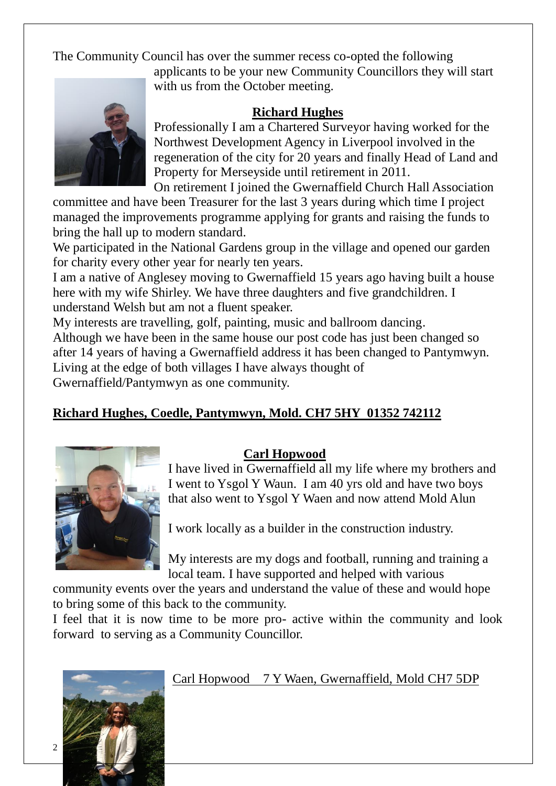The Community Council has over the summer recess co-opted the following



applicants to be your new Community Councillors they will start with us from the October meeting.

#### **Richard Hughes**

Professionally I am a Chartered Surveyor having worked for the Northwest Development Agency in Liverpool involved in the regeneration of the city for 20 years and finally Head of Land and Property for Merseyside until retirement in 2011.

On retirement I joined the Gwernaffield Church Hall Association

committee and have been Treasurer for the last 3 years during which time I project managed the improvements programme applying for grants and raising the funds to bring the hall up to modern standard.

We participated in the National Gardens group in the village and opened our garden for charity every other year for nearly ten years.

I am a native of Anglesey moving to Gwernaffield 15 years ago having built a house here with my wife Shirley. We have three daughters and five grandchildren. I understand Welsh but am not a fluent speaker.

My interests are travelling, golf, painting, music and ballroom dancing. Although we have been in the same house our post code has just been changed so after 14 years of having a Gwernaffield address it has been changed to Pantymwyn. Living at the edge of both villages I have always thought of Gwernaffield/Pantymwyn as one community.

## **Richard Hughes, Coedle, Pantymwyn, Mold. CH7 5HY 01352 742112**



#### **Carl Hopwood**

I have lived in Gwernaffield all my life where my brothers and I went to Ysgol Y Waun. I am 40 yrs old and have two boys that also went to Ysgol Y Waen and now attend Mold Alun

I work locally as a builder in the construction industry.

My interests are my dogs and football, running and training a local team. I have supported and helped with various

community events over the years and understand the value of these and would hope to bring some of this back to the community.

I feel that it is now time to be more pro- active within the community and look forward to serving as a Community Councillor.



#### Carl Hopwood 7 Y Waen, Gwernaffield, Mold CH7 5DP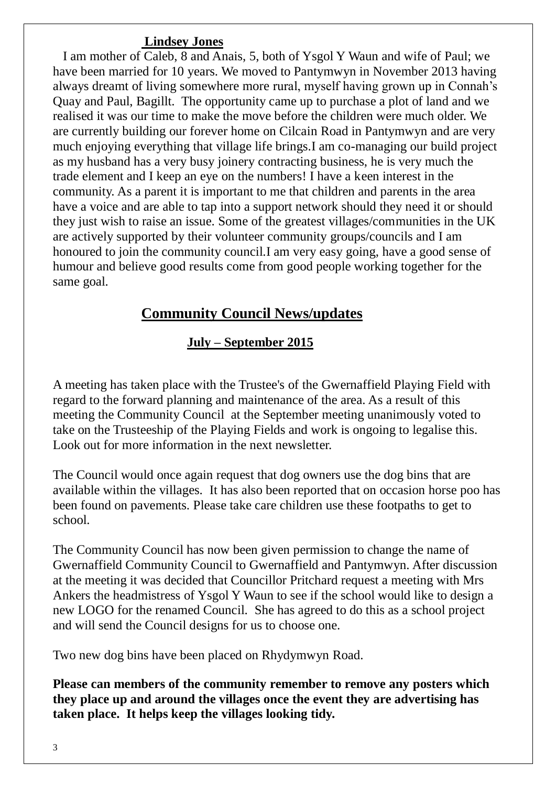#### **Lindsey Jones**

 I am mother of Caleb, 8 and Anais, 5, both of Ysgol Y Waun and wife of Paul; we have been married for 10 years. We moved to Pantymwyn in November 2013 having always dreamt of living somewhere more rural, myself having grown up in Connah's Quay and Paul, Bagillt. The opportunity came up to purchase a plot of land and we realised it was our time to make the move before the children were much older. We are currently building our forever home on Cilcain Road in Pantymwyn and are very much enjoying everything that village life brings.I am co-managing our build project as my husband has a very busy joinery contracting business, he is very much the trade element and I keep an eye on the numbers! I have a keen interest in the community. As a parent it is important to me that children and parents in the area have a voice and are able to tap into a support network should they need it or should they just wish to raise an issue. Some of the greatest villages/communities in the UK are actively supported by their volunteer community groups/councils and I am honoured to join the community council.I am very easy going, have a good sense of humour and believe good results come from good people working together for the same goal.

# **Community Council News/updates**

#### **July – September 2015**

A meeting has taken place with the Trustee's of the Gwernaffield Playing Field with regard to the forward planning and maintenance of the area. As a result of this meeting the Community Council at the September meeting unanimously voted to take on the Trusteeship of the Playing Fields and work is ongoing to legalise this. Look out for more information in the next newsletter.

The Council would once again request that dog owners use the dog bins that are available within the villages. It has also been reported that on occasion horse poo has been found on pavements. Please take care children use these footpaths to get to school.

The Community Council has now been given permission to change the name of Gwernaffield Community Council to Gwernaffield and Pantymwyn. After discussion at the meeting it was decided that Councillor Pritchard request a meeting with Mrs Ankers the headmistress of Ysgol Y Waun to see if the school would like to design a new LOGO for the renamed Council. She has agreed to do this as a school project and will send the Council designs for us to choose one.

Two new dog bins have been placed on Rhydymwyn Road.

**Please can members of the community remember to remove any posters which they place up and around the villages once the event they are advertising has taken place. It helps keep the villages looking tidy.**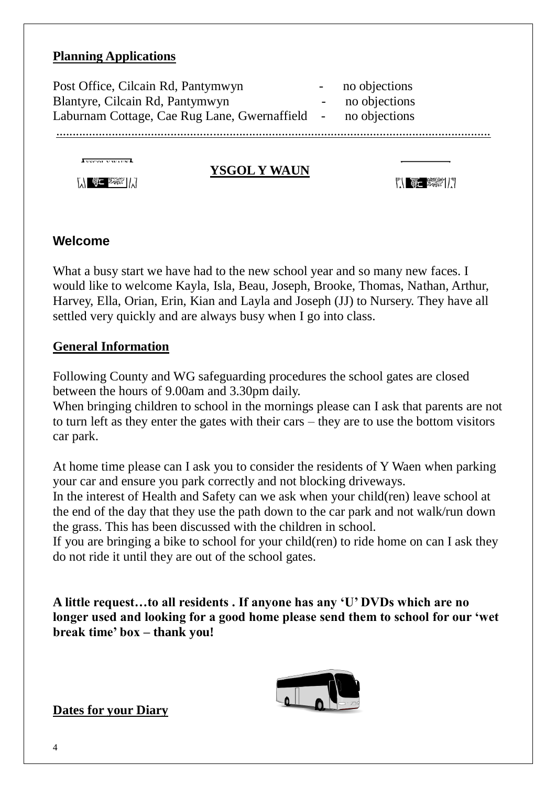#### **Planning Applications**

| <b>YSGOL Y WAUN</b>                                                                                                     |                                                 |  |
|-------------------------------------------------------------------------------------------------------------------------|-------------------------------------------------|--|
| Post Office, Cilcain Rd, Pantymwyn<br>Blantyre, Cilcain Rd, Pantymwyn<br>Laburnam Cottage, Cae Rug Lane, Gwernaffield - | no objections<br>no objections<br>no objections |  |

#### **Welcome**

What a busy start we have had to the new school year and so many new faces. I would like to welcome Kayla, Isla, Beau, Joseph, Brooke, Thomas, Nathan, Arthur, Harvey, Ella, Orian, Erin, Kian and Layla and Joseph (JJ) to Nursery. They have all settled very quickly and are always busy when I go into class.

#### **General Information**

Following County and WG safeguarding procedures the school gates are closed between the hours of 9.00am and 3.30pm daily.

When bringing children to school in the mornings please can I ask that parents are not to turn left as they enter the gates with their cars – they are to use the bottom visitors car park.

At home time please can I ask you to consider the residents of Y Waen when parking your car and ensure you park correctly and not blocking driveways.

In the interest of Health and Safety can we ask when your child(ren) leave school at the end of the day that they use the path down to the car park and not walk/run down the grass. This has been discussed with the children in school.

If you are bringing a bike to school for your child(ren) to ride home on can I ask they do not ride it until they are out of the school gates.

**A little request…to all residents . If anyone has any 'U' DVDs which are no longer used and looking for a good home please send them to school for our 'wet break time' box – thank you!**



1

**Dates for your Diary**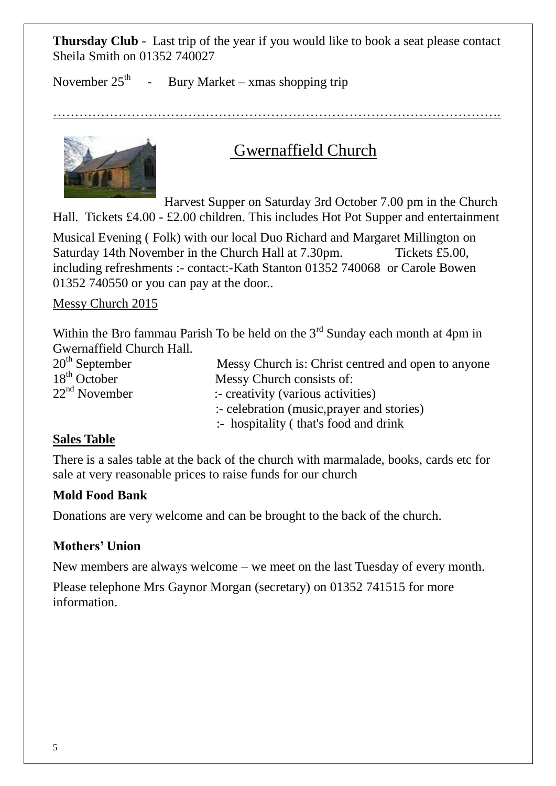**Thursday Club** - Last trip of the year if you would like to book a seat please contact Sheila Smith on 01352 740027

November  $25<sup>th</sup>$ Bury Market – xmas shopping trip

………………………………………………………………………………………….



# Gwernaffield Church

Harvest Supper on Saturday 3rd October 7.00 pm in the Church Hall. Tickets £4.00 - £2.00 children. This includes Hot Pot Supper and entertainment

Musical Evening ( Folk) with our local Duo Richard and Margaret Millington on Saturday 14th November in the Church Hall at 7.30pm. Tickets £5.00, including refreshments :- contact:-Kath Stanton 01352 740068 or Carole Bowen 01352 740550 or you can pay at the door..

#### Messy Church 2015

Within the Bro fammau Parish To be held on the  $3<sup>rd</sup>$  Sunday each month at 4pm in

Gwernaffield Church Hall.<br>20<sup>th</sup> September  $20<sup>th</sup>$  September Messy Church is: Christ centred and open to anyone  $18<sup>th</sup>$  October Messy Church consists of: Messy Church consists of:  $22<sup>nd</sup>$  November :- creativity (various activities) :- celebration (music,prayer and stories) :- hospitality ( that's food and drink

#### **Sales Table**

There is a sales table at the back of the church with marmalade, books, cards etc for sale at very reasonable prices to raise funds for our church

#### **Mold Food Bank**

Donations are very welcome and can be brought to the back of the church.

#### **Mothers' Union**

New members are always welcome – we meet on the last Tuesday of every month.

1

Please telephone Mrs Gaynor Morgan (secretary) on 01352 741515 for more information.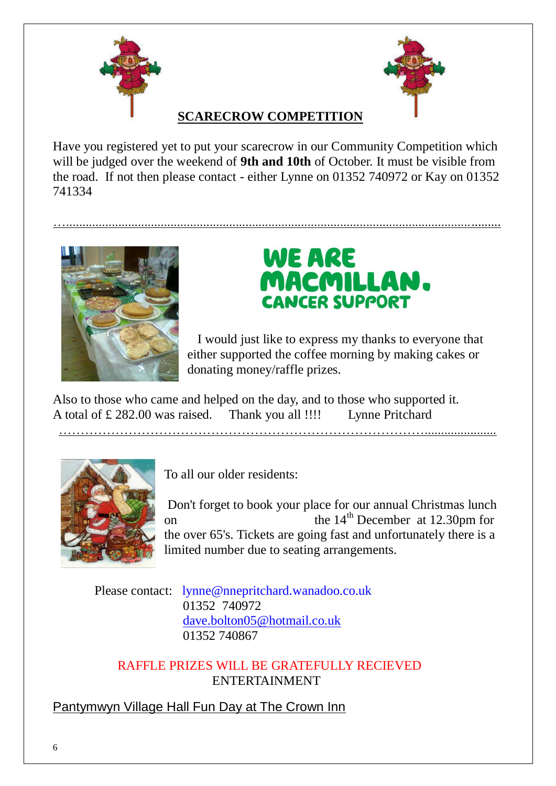



## **SCARECROW COMPETITION**

Have you registered yet to put your scarecrow in our Community Competition which will be judged over the weekend of **9th and 10th** of October. It must be visible from the road. If not then please contact - either Lynne on 01352 740972 or Kay on 01352 741334

….....................................................................................................................................



# **WE ARE** MACMILLAN. **CANCER SUPPORT**

 I would just like to express my thanks to everyone that either supported the coffee morning by making cakes or donating money/raffle prizes.

Also to those who came and helped on the day, and to those who supported it. A total of £ 282.00 was raised. Thank you all !!!! Lynne Pritchard

…………………………………………………………………………......................



To all our older residents:

Don't forget to book your place for our annual Christmas lunch on the  $14<sup>th</sup>$  December at 12.30pm for the over 65's. Tickets are going fast and unfortunately there is a limited number due to seating arrangements.

1

 Please contact: lynne@nnepritchard.wanadoo.co.uk 01352 740972 [dave.bolton05@hotmail.co.uk](mailto:dave.bolton05@hotmail.co.uk) 01352 740867

 RAFFLE PRIZES WILL BE GRATEFULLY RECIEVED ENTERTAINMENT

Pantymwyn Village Hall Fun Day at The Crown Inn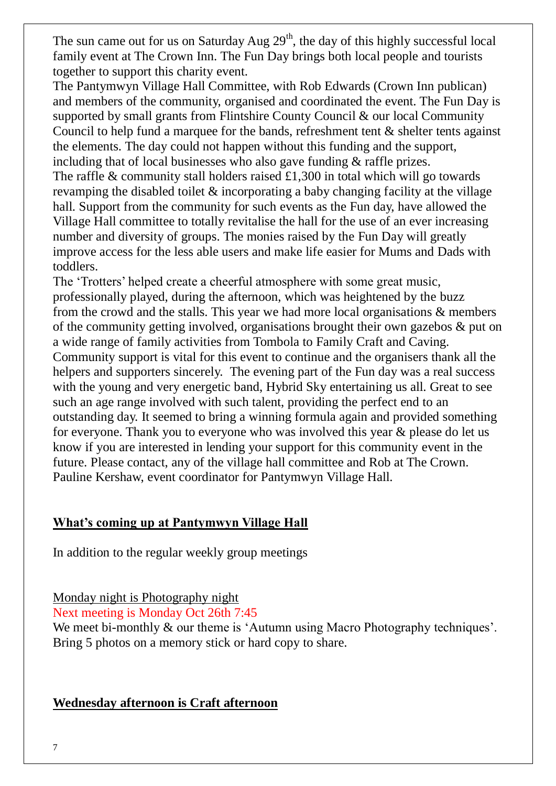The sun came out for us on Saturday Aug  $29<sup>th</sup>$ , the day of this highly successful local family event at The Crown Inn. The Fun Day brings both local people and tourists together to support this charity event.

The Pantymwyn Village Hall Committee, with Rob Edwards (Crown Inn publican) and members of the community, organised and coordinated the event. The Fun Day is supported by small grants from Flintshire County Council & our local Community Council to help fund a marquee for the bands, refreshment tent  $\&$  shelter tents against the elements. The day could not happen without this funding and the support, including that of local businesses who also gave funding & raffle prizes. The raffle  $\&$  community stall holders raised £1,300 in total which will go towards revamping the disabled toilet & incorporating a baby changing facility at the village hall. Support from the community for such events as the Fun day, have allowed the Village Hall committee to totally revitalise the hall for the use of an ever increasing number and diversity of groups. The monies raised by the Fun Day will greatly improve access for the less able users and make life easier for Mums and Dads with toddlers.

The 'Trotters' helped create a cheerful atmosphere with some great music, professionally played, during the afternoon, which was heightened by the buzz from the crowd and the stalls. This year we had more local organisations & members of the community getting involved, organisations brought their own gazebos & put on a wide range of family activities from Tombola to Family Craft and Caving. Community support is vital for this event to continue and the organisers thank all the helpers and supporters sincerely. The evening part of the Fun day was a real success with the young and very energetic band, Hybrid Sky entertaining us all. Great to see such an age range involved with such talent, providing the perfect end to an outstanding day. It seemed to bring a winning formula again and provided something for everyone. Thank you to everyone who was involved this year & please do let us know if you are interested in lending your support for this community event in the future. Please contact, any of the village hall committee and Rob at The Crown. Pauline Kershaw, event coordinator for Pantymwyn Village Hall.

#### **What's coming up at Pantymwyn Village Hall**

In addition to the regular weekly group meetings

Monday night is Photography night

Next meeting is Monday Oct 26th 7:45

We meet bi-monthly & our theme is 'Autumn using Macro Photography techniques'. Bring 5 photos on a memory stick or hard copy to share.

1

#### **Wednesday afternoon is Craft afternoon**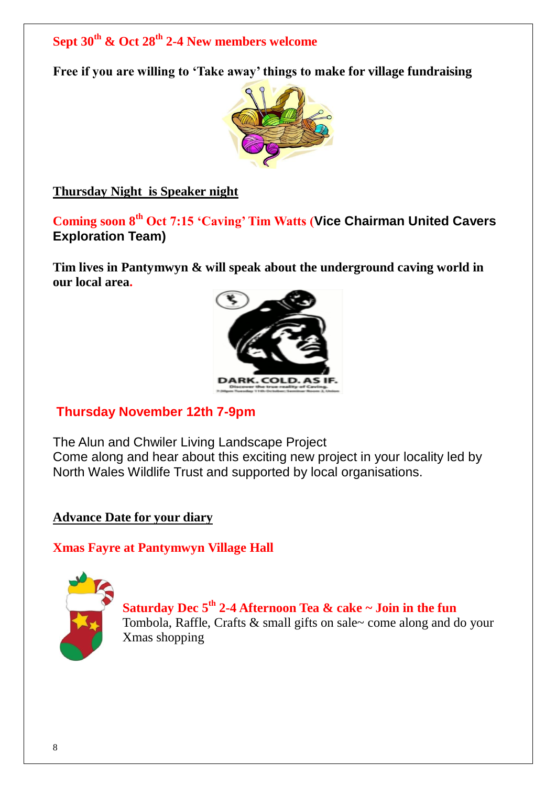# **Sept 30th & Oct 28th 2-4 New members welcome**

**Free if you are willing to 'Take away' things to make for village fundraising**



**Thursday Night is Speaker night**

**Coming soon 8th Oct 7:15 'Caving' Tim Watts (Vice Chairman United Cavers Exploration Team)**

**Tim lives in Pantymwyn & will speak about the underground caving world in our local area.**



## **Thursday November 12th 7-9pm**

The Alun and Chwiler Living Landscape Project Come along and hear about this exciting new project in your locality led by North Wales Wildlife Trust and supported by local organisations.

#### **Advance Date for your diary**

#### **Xmas Fayre at Pantymwyn Village Hall**



**Saturday Dec 5th 2-4 Afternoon Tea & cake ~ Join in the fun** Tombola, Raffle, Crafts & small gifts on sale~ come along and do your Xmas shopping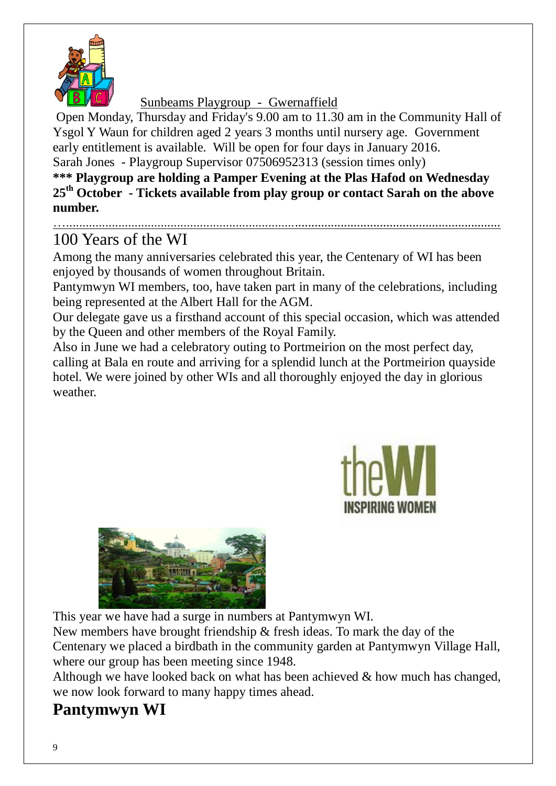

Sunbeams Playgroup - Gwernaffield

Open Monday, Thursday and Friday's 9.00 am to 11.30 am in the Community Hall of Ysgol Y Waun for children aged 2 years 3 months until nursery age. Government early entitlement is available. Will be open for four days in January 2016. Sarah Jones - Playgroup Supervisor 07506952313 (session times only)

**\*\*\* Playgroup are holding a Pamper Evening at the Plas Hafod on Wednesday 25th October - Tickets available from play group or contact Sarah on the above number.**

### …..................................................................................................................................... 100 Years of the WI

Among the many anniversaries celebrated this year, the Centenary of WI has been enjoyed by thousands of women throughout Britain.

Pantymwyn WI members, too, have taken part in many of the celebrations, including being represented at the Albert Hall for the AGM.

Our delegate gave us a firsthand account of this special occasion, which was attended by the Queen and other members of the Royal Family.

Also in June we had a celebratory outing to Portmeirion on the most perfect day, calling at Bala en route and arriving for a splendid lunch at the Portmeirion quayside hotel. We were joined by other WIs and all thoroughly enjoyed the day in glorious weather.



1



This year we have had a surge in numbers at Pantymwyn WI.

New members have brought friendship & fresh ideas. To mark the day of the Centenary we placed a birdbath in the community garden at Pantymwyn Village Hall, where our group has been meeting since 1948.

Although we have looked back on what has been achieved & how much has changed, we now look forward to many happy times ahead.

# **Pantymwyn WI**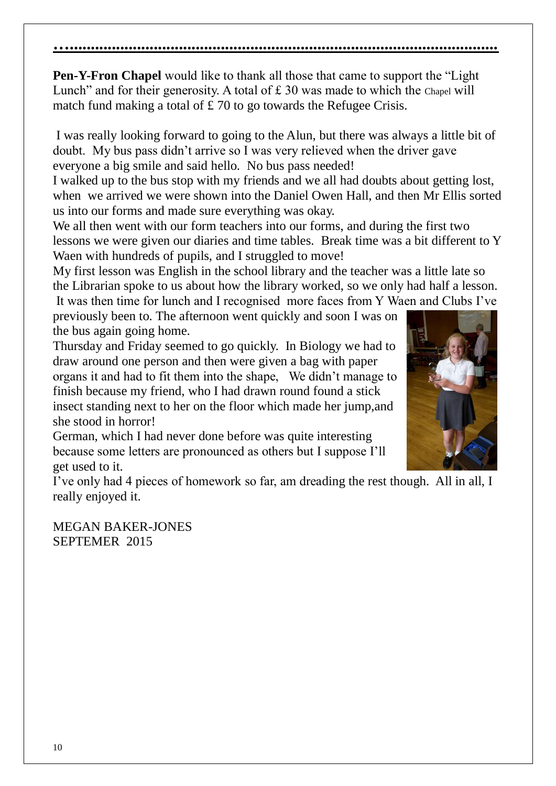**Pen-Y-Fron Chapel** would like to thank all those that came to support the "Light Lunch" and for their generosity. A total of £30 was made to which the Chapel will match fund making a total of £70 to go towards the Refugee Crisis.

**…......................................................................................................**

I was really looking forward to going to the Alun, but there was always a little bit of doubt. My bus pass didn't arrive so I was very relieved when the driver gave everyone a big smile and said hello. No bus pass needed!

I walked up to the bus stop with my friends and we all had doubts about getting lost, when we arrived we were shown into the Daniel Owen Hall, and then Mr Ellis sorted us into our forms and made sure everything was okay.

We all then went with our form teachers into our forms, and during the first two lessons we were given our diaries and time tables. Break time was a bit different to Y Waen with hundreds of pupils, and I struggled to move!

My first lesson was English in the school library and the teacher was a little late so the Librarian spoke to us about how the library worked, so we only had half a lesson. It was then time for lunch and I recognised more faces from Y Waen and Clubs I've

previously been to. The afternoon went quickly and soon I was on the bus again going home.

Thursday and Friday seemed to go quickly. In Biology we had to draw around one person and then were given a bag with paper organs it and had to fit them into the shape, We didn't manage to finish because my friend, who I had drawn round found a stick insect standing next to her on the floor which made her jump,and she stood in horror!

German, which I had never done before was quite interesting because some letters are pronounced as others but I suppose I'll get used to it.

I've only had 4 pieces of homework so far, am dreading the rest though. All in all, I really enjoyed it.

MEGAN BAKER-JONES SEPTEMER 2015

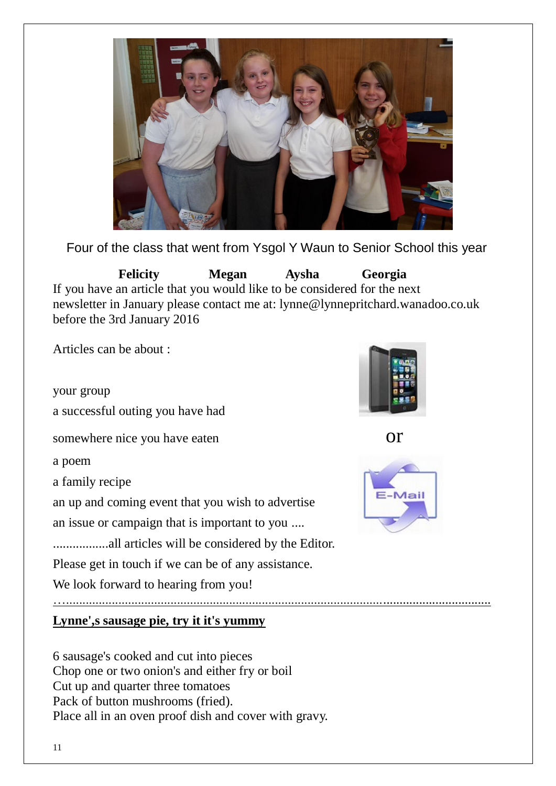

Four of the class that went from Ysgol Y Waun to Senior School this year

 **Felicity Megan Aysha Georgia** If you have an article that you would like to be considered for the next newsletter in January please contact me at: lynne@lynnepritchard.wanadoo.co.uk before the 3rd January 2016

Articles can be about :

your group a successful outing you have had somewhere nice you have eaten or

a poem

a family recipe

an up and coming event that you wish to advertise

an issue or campaign that is important to you ....

.................all articles will be considered by the Editor.

Please get in touch if we can be of any assistance.

We look forward to hearing from you!

…..................................................................................................................................

**Lynne',s sausage pie, try it it's yummy**

6 sausage's cooked and cut into pieces Chop one or two onion's and either fry or boil Cut up and quarter three tomatoes Pack of button mushrooms (fried). Place all in an oven proof dish and cover with gravy.



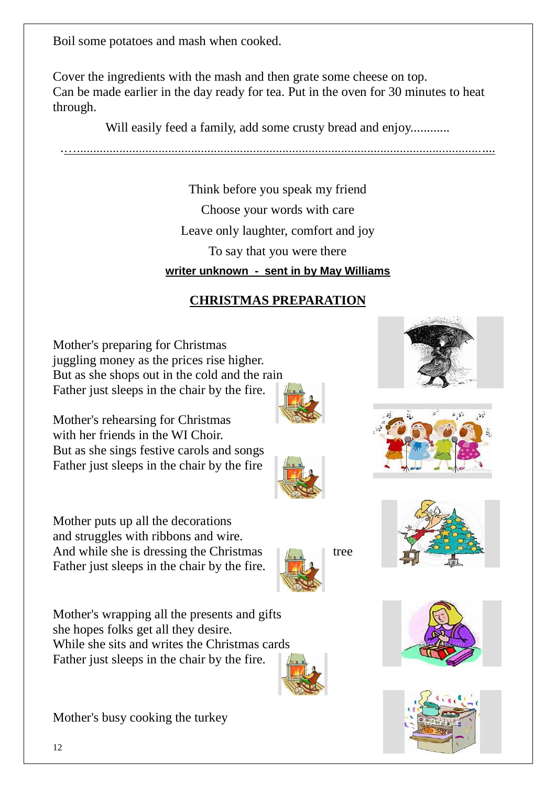12

Boil some potatoes and mash when cooked.

Cover the ingredients with the mash and then grate some cheese on top. Can be made earlier in the day ready for tea. Put in the oven for 30 minutes to heat through.

Will easily feed a family, add some crusty bread and enjoy............

.…................................................................................................................................

Think before you speak my friend Choose your words with care Leave only laughter, comfort and joy To say that you were there **writer unknown - sent in by May Williams**

# **CHRISTMAS PREPARATION**

Mother's preparing for Christmas juggling money as the prices rise higher. But as she shops out in the cold and the rain Father just sleeps in the chair by the fire.

Mother's rehearsing for Christmas with her friends in the WI Choir. But as she sings festive carols and songs Father just sleeps in the chair by the fire

Mother puts up all the decorations and struggles with ribbons and wire. And while she is dressing the Christmas  $\left\| \cdot \right\|$  tree Father just sleeps in the chair by the fire.

Mother's wrapping all the presents and gifts she hopes folks get all they desire. While she sits and writes the Christmas cards Father just sleeps in the chair by the fire.

Mother's busy cooking the turkey